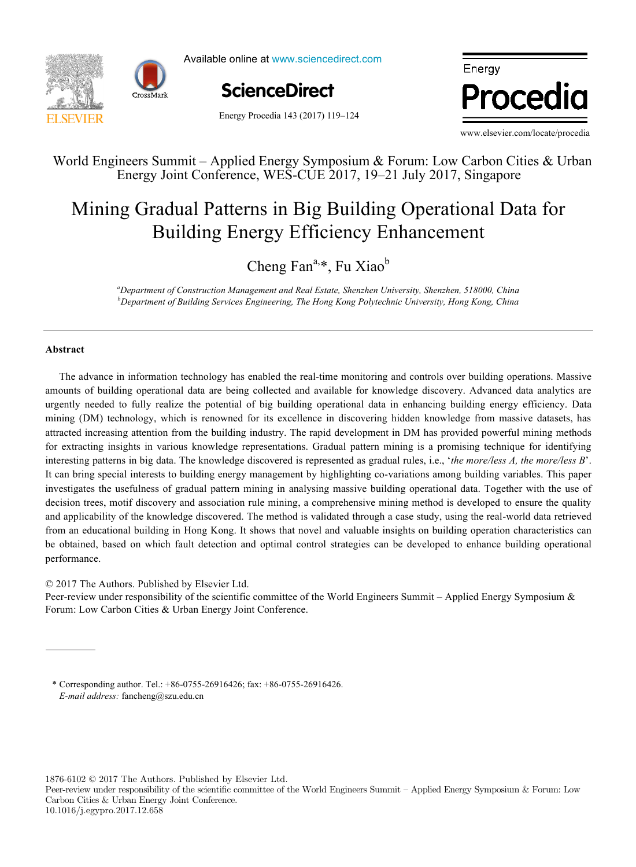



Available online at www.sciencedirect.com

Energy Procedia 143 (2017) 119–124



Energy Procedia

www.elsevier.com/locate/procedia

# World Engineers Summit – Applied Energy Symposium & Forum: Low Carbon Cities & Urban Energy Joint Conference, WES-CUE 2017, 19–21 July 2017, Singapore

# Mining Gradual Patterns in Big Building Operational Data for Bunding Energy Efficiency Emidlement Building Energy Efficiency Enhancement

Cheng Fan<sup>a,\*</sup>, Fu Xiao<sup>b</sup>

*bepartment of Building Services Engineering, The Hong Kong Polytechnic University, Hong Kong, China*<br><sup>*b*</sup> Department of Building Services Engineering, The Hong Kong Polytechnic University, Hong Kong, China *a Department of Construction Management and Real Estate, Shenzhen University, Shenzhen, 518000, China*

*IN+ Center for Innovation, Technology and Policy Research - Instituto Superior Técnico, Av. Rovisco Pais 1, 1049-001 Lisbon, Portugal*

### **Abstract**

**Abstract** urgently needed to fully realize the potential of big building operational data in enhancing building energy efficiency. Data mining (DM) technology, which is renowned for its excellence in discovering hidden knowledge from massive datasets, has attracted increasing attention from the building industry. The rapid development in DM has provided powerful mining methods for extracting insights in various knowledge representations. Gradual pattern mining is a promising technique for identifying interesting patterns in big data. The knowledge discovered is represented as gradual rules, i.e., '*the more/less A, the more/less B*'. It can bring special interests to building energy management by highlighting co-variations among building variables. This paper investigates the usefulness of gradual pattern mining in analysing massive building operational data. Together with the use of decision trees, motif discovery and association rule mining, a comprehensive mining method is developed to ensure the quality and applicability of the knowledge discovered. The method is validated through a case study, using the real-world data retrieved from an educational building in Hong Kong. It shows that novel and valuable insights on building operation characteristics can  $\overline{\mathbf{r}}$  and  $\overline{\mathbf{r}}$  and  $\overline{\mathbf{r}}$  and  $\overline{\mathbf{r}}$  and  $\overline{\mathbf{r}}$  and  $\overline{\mathbf{r}}$  and  $\overline{\mathbf{r}}$  and  $\overline{\mathbf{r}}$  and  $\overline{\mathbf{r}}$  and  $\overline{\mathbf{r}}$  and  $\overline{\mathbf{r}}$  and  $\overline{\mathbf{r}}$  and  $\overline{\mathbf{r}}$  and  $\overline{\mathbf{r}}$  a be obtained, based on which fault detection and optimal control strategies can be developed to enhance building operational scenarios, the error value increased up to 59.5% (depending on the weather and renovation scenarios combination considered). The advance in information technology has enabled the real-time monitoring and controls over building operations. Massive amounts of building operational data are being collected and available for knowledge discovery. Advanced data analytics are performance.

© 2017 The Authors. Published by Elsevier Ltd.

© 2017 The Authors. Published by Elsevier Ltd.

 $\omega$  and the number of heating hours of the heating the heating season (depending on the combination of weather and weather and weather and weather and weather and weather and weather and weather and weather and weather a Peer-review under responsibility of the scientific committee of the World Engineers Summit – Applied Energy Symposium  $\&$ Forum: Low Carbon Cities & Urban Energy Joint Conference.

\* Corresponding author. Tel.: +86-0755-26916426; fax: +86-0755-26916426. *Keywords:* Heat demand; Forecast; Climate change *E-mail address:* fancheng@szu.edu.cn

1876-6102 © 2017 The Authors. Published by Elsevier Ltd.

Peer-review under responsibility of the scientific committee of the World Engineers Summit – Applied Energy Symposium & Forum: Low Carbon Cities & Urban Energy Joint Conference. 10.1016/j.egypro.2017.12.658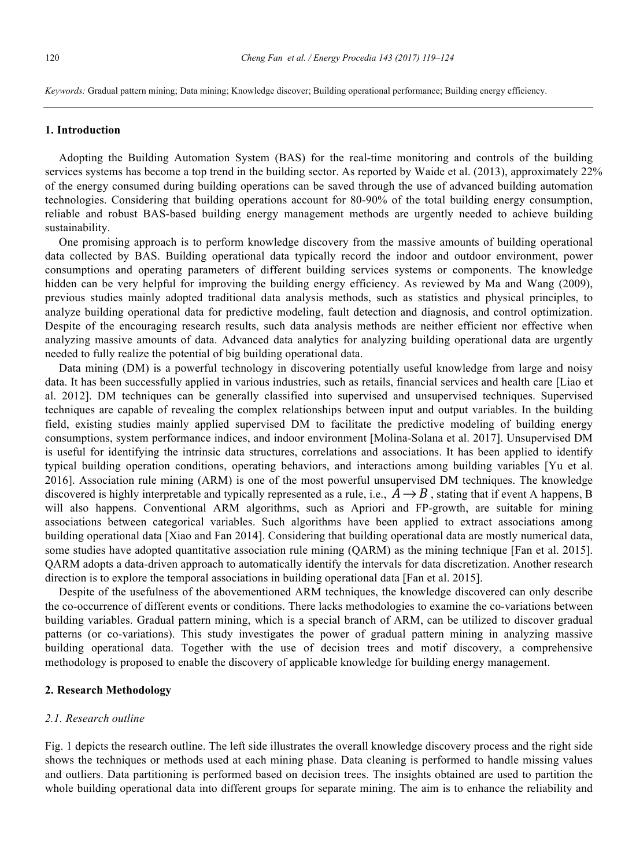### **1. Introduction**

Adopting the Building Automation System (BAS) for the real-time monitoring and controls of the building services systems has become a top trend in the building sector. As reported by Waide et al. (2013), approximately 22% of the energy consumed during building operations can be saved through the use of advanced building automation technologies. Considering that building operations account for 80-90% of the total building energy consumption, reliable and robust BAS-based building energy management methods are urgently needed to achieve building sustainability.

One promising approach is to perform knowledge discovery from the massive amounts of building operational data collected by BAS. Building operational data typically record the indoor and outdoor environment, power consumptions and operating parameters of different building services systems or components. The knowledge hidden can be very helpful for improving the building energy efficiency. As reviewed by Ma and Wang (2009), previous studies mainly adopted traditional data analysis methods, such as statistics and physical principles, to analyze building operational data for predictive modeling, fault detection and diagnosis, and control optimization. Despite of the encouraging research results, such data analysis methods are neither efficient nor effective when analyzing massive amounts of data. Advanced data analytics for analyzing building operational data are urgently needed to fully realize the potential of big building operational data.

Data mining (DM) is a powerful technology in discovering potentially useful knowledge from large and noisy data. It has been successfully applied in various industries, such as retails, financial services and health care [Liao et al. 2012]. DM techniques can be generally classified into supervised and unsupervised techniques. Supervised techniques are capable of revealing the complex relationships between input and output variables. In the building field, existing studies mainly applied supervised DM to facilitate the predictive modeling of building energy consumptions, system performance indices, and indoor environment [Molina-Solana et al. 2017]. Unsupervised DM is useful for identifying the intrinsic data structures, correlations and associations. It has been applied to identify typical building operation conditions, operating behaviors, and interactions among building variables [Yu et al. 2016]. Association rule mining (ARM) is one of the most powerful unsupervised DM techniques. The knowledge discovered is highly interpretable and typically represented as a rule, i.e.,  $\overline{A} \rightarrow B$ , stating that if event A happens, B will also happens. Conventional ARM algorithms, such as Apriori and FP-growth, are suitable for mining associations between categorical variables. Such algorithms have been applied to extract associations among building operational data [Xiao and Fan 2014]. Considering that building operational data are mostly numerical data, some studies have adopted quantitative association rule mining (QARM) as the mining technique [Fan et al. 2015]. QARM adopts a data-driven approach to automatically identify the intervals for data discretization. Another research direction is to explore the temporal associations in building operational data [Fan et al. 2015].

Despite of the usefulness of the abovementioned ARM techniques, the knowledge discovered can only describe the co-occurrence of different events or conditions. There lacks methodologies to examine the co-variations between building variables. Gradual pattern mining, which is a special branch of ARM, can be utilized to discover gradual patterns (or co-variations). This study investigates the power of gradual pattern mining in analyzing massive building operational data. Together with the use of decision trees and motif discovery, a comprehensive methodology is proposed to enable the discovery of applicable knowledge for building energy management.

# **2. Research Methodology**

### *2.1. Research outline*

Fig. 1 depicts the research outline. The left side illustrates the overall knowledge discovery process and the right side shows the techniques or methods used at each mining phase. Data cleaning is performed to handle missing values and outliers. Data partitioning is performed based on decision trees. The insights obtained are used to partition the whole building operational data into different groups for separate mining. The aim is to enhance the reliability and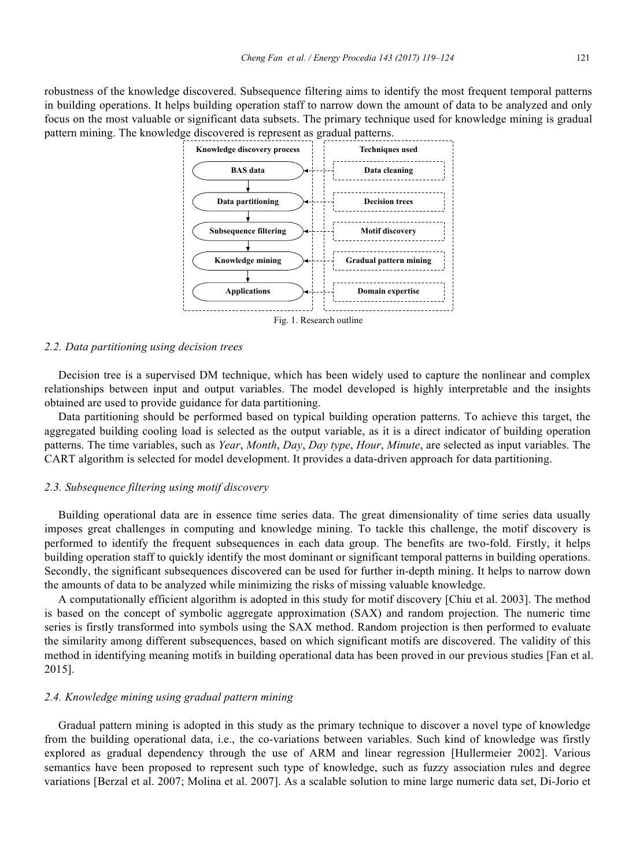robustness of the knowledge discovered. Subsequence filtering aims to identify the most frequent temporal patterns in building operations. It helps building operation staff to narrow down the amount of data to be analyzed and only focus on the most valuable or significant data subsets. The primary technique used for knowledge mining is gradual pattern mining. The knowledge discovered is represent as gradual patterns.



#### *2.2. Data partitioning using decision trees*

Decision tree is a supervised DM technique, which has been widely used to capture the nonlinear and complex relationships between input and output variables. The model developed is highly interpretable and the insights obtained are used to provide guidance for data partitioning.

Data partitioning should be performed based on typical building operation patterns. To achieve this target, the aggregated building cooling load is selected as the output variable, as it is a direct indicator of building operation patterns. The time variables, such as *Year*, *Month*, *Day*, *Day type*, *Hour*, *Minute*, are selected as input variables. The CART algorithm is selected for model development. It provides a data-driven approach for data partitioning.

#### *2.3. Subsequence filtering using motif discovery*

Building operational data are in essence time series data. The great dimensionality of time series data usually imposes great challenges in computing and knowledge mining. To tackle this challenge, the motif discovery is performed to identify the frequent subsequences in each data group. The benefits are two-fold. Firstly, it helps building operation staff to quickly identify the most dominant or significant temporal patterns in building operations. Secondly, the significant subsequences discovered can be used for further in-depth mining. It helps to narrow down the amounts of data to be analyzed while minimizing the risks of missing valuable knowledge.

A computationally efficient algorithm is adopted in this study for motif discovery [Chiu et al. 2003]. The method is based on the concept of symbolic aggregate approximation (SAX) and random projection. The numeric time series is firstly transformed into symbols using the SAX method. Random projection is then performed to evaluate the similarity among different subsequences, based on which significant motifs are discovered. The validity of this method in identifying meaning motifs in building operational data has been proved in our previous studies [Fan et al. 2015].

#### *2.4. Knowledge mining using gradual pattern mining*

Gradual pattern mining is adopted in this study as the primary technique to discover a novel type of knowledge from the building operational data, i.e., the co-variations between variables. Such kind of knowledge was firstly explored as gradual dependency through the use of ARM and linear regression [Hullermeier 2002]. Various semantics have been proposed to represent such type of knowledge, such as fuzzy association rules and degree variations [Berzal et al. 2007; Molina et al. 2007]. As a scalable solution to mine large numeric data set, Di-Jorio et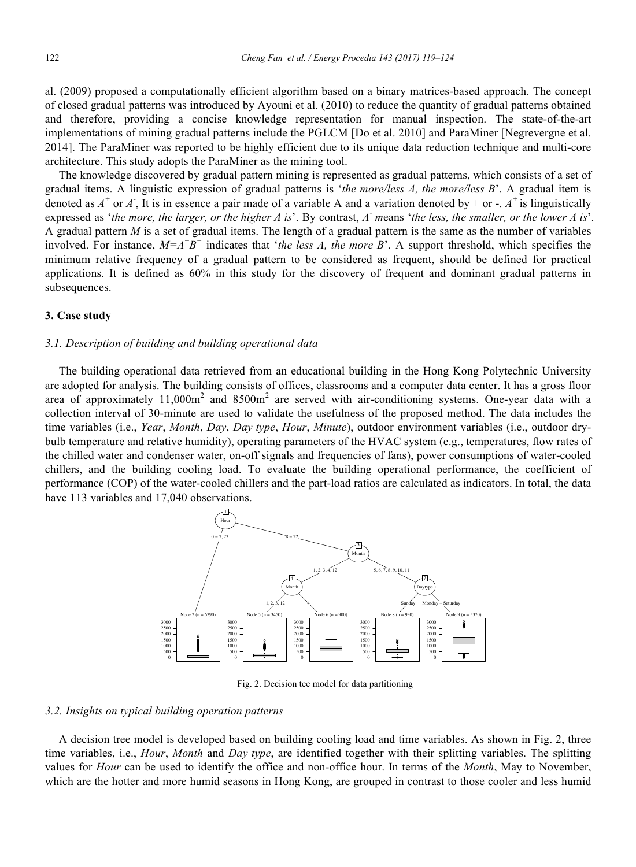al. (2009) proposed a computationally efficient algorithm based on a binary matrices-based approach. The concept of closed gradual patterns was introduced by Ayouni et al. (2010) to reduce the quantity of gradual patterns obtained and therefore, providing a concise knowledge representation for manual inspection. The state-of-the-art implementations of mining gradual patterns include the PGLCM [Do et al. 2010] and ParaMiner [Negrevergne et al. 2014]. The ParaMiner was reported to be highly efficient due to its unique data reduction technique and multi-core architecture. This study adopts the ParaMiner as the mining tool.

The knowledge discovered by gradual pattern mining is represented as gradual patterns, which consists of a set of gradual items. A linguistic expression of gradual patterns is '*the more/less A, the more/less B*'. A gradual item is denoted as  $A^+$  or  $A^$ , It is in essence a pair made of a variable A and a variation denoted by + or -.  $A^+$  is linguistically expressed as '*the more, the larger, or the higher A is*'. By contrast, *A- m*eans '*the less, the smaller, or the lower A is*'. A gradual pattern *M* is a set of gradual items. The length of a gradual pattern is the same as the number of variables involved. For instance,  $M = A^{\dagger} B^{\dagger}$  indicates that '*the less A, the more B*'. A support threshold, which specifies the minimum relative frequency of a gradual pattern to be considered as frequent, should be defined for practical applications. It is defined as 60% in this study for the discovery of frequent and dominant gradual patterns in subsequences.

### **3. Case study**

#### *3.1. Description of building and building operational data*

The building operational data retrieved from an educational building in the Hong Kong Polytechnic University are adopted for analysis. The building consists of offices, classrooms and a computer data center. It has a gross floor area of approximately  $11,000m^2$  and  $8500m^2$  are served with air-conditioning systems. One-year data with a collection interval of 30-minute are used to validate the usefulness of the proposed method. The data includes the time variables (i.e., *Year*, *Month*, *Day*, *Day type*, *Hour*, *Minute*), outdoor environment variables (i.e., outdoor drybulb temperature and relative humidity), operating parameters of the HVAC system (e.g., temperatures, flow rates of the chilled water and condenser water, on-off signals and frequencies of fans), power consumptions of water-cooled chillers, and the building cooling load. To evaluate the building operational performance, the coefficient of performance (COP) of the water-cooled chillers and the part-load ratios are calculated as indicators. In total, the data have 113 variables and 17,040 observations.



Fig. 2. Decision tee model for data partitioning

## *3.2. Insights on typical building operation patterns*

A decision tree model is developed based on building cooling load and time variables. As shown in Fig. 2, three time variables, i.e., *Hour*, *Month* and *Day type*, are identified together with their splitting variables. The splitting values for *Hour* can be used to identify the office and non-office hour. In terms of the *Month*, May to November, which are the hotter and more humid seasons in Hong Kong, are grouped in contrast to those cooler and less humid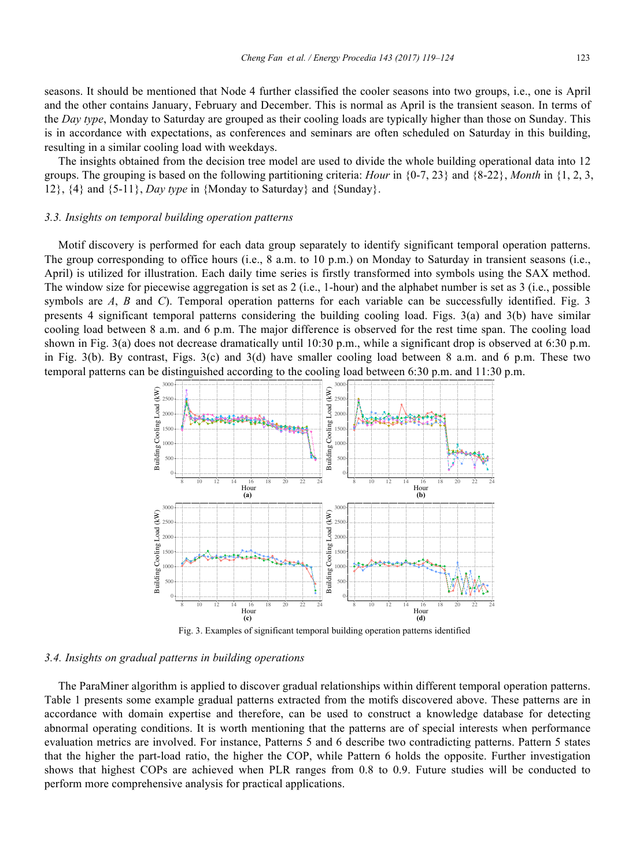seasons. It should be mentioned that Node 4 further classified the cooler seasons into two groups, i.e., one is April and the other contains January, February and December. This is normal as April is the transient season. In terms of the *Day type*, Monday to Saturday are grouped as their cooling loads are typically higher than those on Sunday. This is in accordance with expectations, as conferences and seminars are often scheduled on Saturday in this building, resulting in a similar cooling load with weekdays.

The insights obtained from the decision tree model are used to divide the whole building operational data into 12 groups. The grouping is based on the following partitioning criteria: *Hour* in {0-7, 23} and {8-22}, *Month* in {1, 2, 3, 12}, {4} and {5-11}, *Day type* in {Monday to Saturday} and {Sunday}.

#### *3.3. Insights on temporal building operation patterns*

Motif discovery is performed for each data group separately to identify significant temporal operation patterns. The group corresponding to office hours (i.e., 8 a.m. to 10 p.m.) on Monday to Saturday in transient seasons (i.e., April) is utilized for illustration. Each daily time series is firstly transformed into symbols using the SAX method. The window size for piecewise aggregation is set as 2 (i.e., 1-hour) and the alphabet number is set as 3 (i.e., possible symbols are *A*, *B* and *C*). Temporal operation patterns for each variable can be successfully identified. Fig. 3 presents 4 significant temporal patterns considering the building cooling load. Figs. 3(a) and 3(b) have similar cooling load between 8 a.m. and 6 p.m. The major difference is observed for the rest time span. The cooling load shown in Fig. 3(a) does not decrease dramatically until 10:30 p.m., while a significant drop is observed at 6:30 p.m. in Fig. 3(b). By contrast, Figs. 3(c) and 3(d) have smaller cooling load between 8 a.m. and 6 p.m. These two temporal patterns can be distinguished according to the cooling load between 6:30 p.m. and 11:30 p.m.



#### *3.4. Insights on gradual patterns in building operations*

The ParaMiner algorithm is applied to discover gradual relationships within different temporal operation patterns. Table 1 presents some example gradual patterns extracted from the motifs discovered above. These patterns are in accordance with domain expertise and therefore, can be used to construct a knowledge database for detecting abnormal operating conditions. It is worth mentioning that the patterns are of special interests when performance evaluation metrics are involved. For instance, Patterns 5 and 6 describe two contradicting patterns. Pattern 5 states that the higher the part-load ratio, the higher the COP, while Pattern 6 holds the opposite. Further investigation shows that highest COPs are achieved when PLR ranges from 0.8 to 0.9. Future studies will be conducted to perform more comprehensive analysis for practical applications.